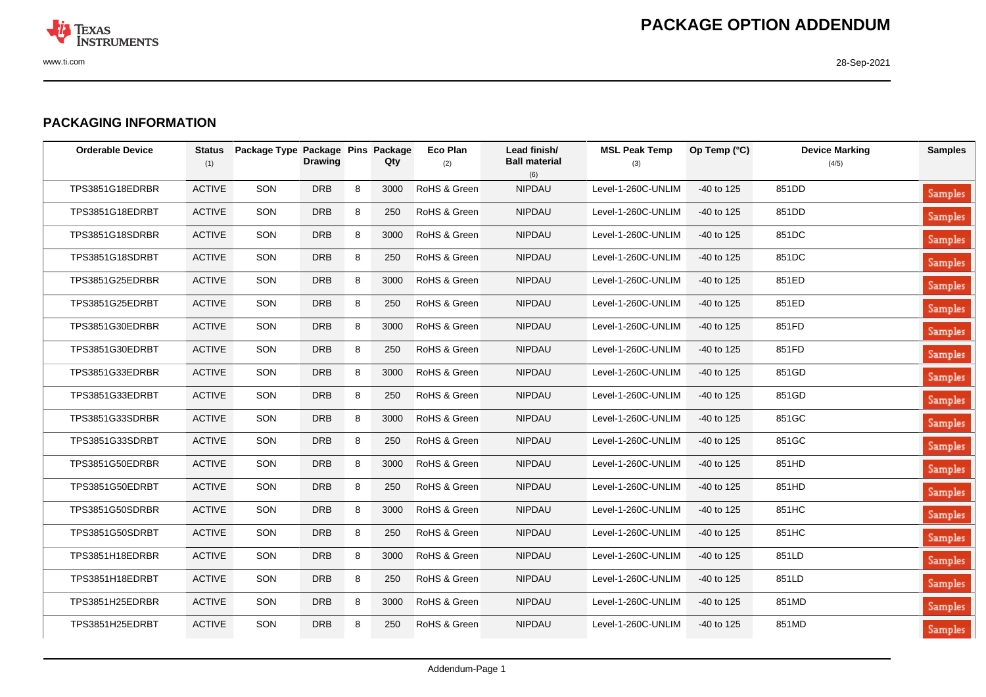

## **PACKAGING INFORMATION**

| <b>Orderable Device</b> | <b>Status</b><br>(1) | Package Type Package Pins Package | <b>Drawing</b> |   | Qty  | <b>Eco Plan</b><br>(2) | Lead finish/<br><b>Ball material</b><br>(6) | <b>MSL Peak Temp</b><br>(3) | Op Temp (°C) | <b>Device Marking</b><br>(4/5) | <b>Samples</b> |
|-------------------------|----------------------|-----------------------------------|----------------|---|------|------------------------|---------------------------------------------|-----------------------------|--------------|--------------------------------|----------------|
| TPS3851G18EDRBR         | <b>ACTIVE</b>        | SON                               | <b>DRB</b>     | 8 | 3000 | RoHS & Green           | NIPDAU                                      | Level-1-260C-UNLIM          | -40 to 125   | 851DD                          | <b>Samples</b> |
| TPS3851G18EDRBT         | <b>ACTIVE</b>        | SON                               | <b>DRB</b>     | 8 | 250  | RoHS & Green           | <b>NIPDAU</b>                               | Level-1-260C-UNLIM          | -40 to 125   | 851DD                          | <b>Samples</b> |
| TPS3851G18SDRBR         | <b>ACTIVE</b>        | SON                               | <b>DRB</b>     | 8 | 3000 | RoHS & Green           | <b>NIPDAU</b>                               | Level-1-260C-UNLIM          | -40 to 125   | 851DC                          | Samples        |
| TPS3851G18SDRBT         | <b>ACTIVE</b>        | SON                               | <b>DRB</b>     | 8 | 250  | RoHS & Green           | <b>NIPDAU</b>                               | Level-1-260C-UNLIM          | -40 to 125   | 851DC                          | <b>Samples</b> |
| TPS3851G25EDRBR         | <b>ACTIVE</b>        | SON                               | <b>DRB</b>     | 8 | 3000 | RoHS & Green           | <b>NIPDAU</b>                               | Level-1-260C-UNLIM          | -40 to 125   | 851ED                          | <b>Samples</b> |
| TPS3851G25EDRBT         | <b>ACTIVE</b>        | SON                               | <b>DRB</b>     | 8 | 250  | RoHS & Green           | <b>NIPDAU</b>                               | Level-1-260C-UNLIM          | $-40$ to 125 | 851ED                          | <b>Samples</b> |
| TPS3851G30EDRBR         | <b>ACTIVE</b>        | SON                               | <b>DRB</b>     | 8 | 3000 | RoHS & Green           | <b>NIPDAU</b>                               | Level-1-260C-UNLIM          | $-40$ to 125 | 851FD                          | Samples        |
| TPS3851G30EDRBT         | <b>ACTIVE</b>        | SON                               | <b>DRB</b>     | 8 | 250  | RoHS & Green           | <b>NIPDAU</b>                               | Level-1-260C-UNLIM          | -40 to 125   | 851FD                          | <b>Samples</b> |
| TPS3851G33EDRBR         | <b>ACTIVE</b>        | SON                               | <b>DRB</b>     | 8 | 3000 | RoHS & Green           | <b>NIPDAU</b>                               | Level-1-260C-UNLIM          | -40 to 125   | 851GD                          | <b>Samples</b> |
| TPS3851G33EDRBT         | <b>ACTIVE</b>        | SON                               | <b>DRB</b>     | 8 | 250  | RoHS & Green           | <b>NIPDAU</b>                               | Level-1-260C-UNLIM          | -40 to 125   | 851GD                          | <b>Samples</b> |
| TPS3851G33SDRBR         | <b>ACTIVE</b>        | SON                               | <b>DRB</b>     | 8 | 3000 | RoHS & Green           | <b>NIPDAU</b>                               | Level-1-260C-UNLIM          | -40 to 125   | 851GC                          | <b>Samples</b> |
| TPS3851G33SDRBT         | <b>ACTIVE</b>        | SON                               | <b>DRB</b>     | 8 | 250  | RoHS & Green           | <b>NIPDAU</b>                               | Level-1-260C-UNLIM          | -40 to 125   | 851GC                          | <b>Samples</b> |
| TPS3851G50EDRBR         | <b>ACTIVE</b>        | SON                               | <b>DRB</b>     | 8 | 3000 | RoHS & Green           | <b>NIPDAU</b>                               | Level-1-260C-UNLIM          | -40 to 125   | 851HD                          | <b>Samples</b> |
| TPS3851G50EDRBT         | <b>ACTIVE</b>        | SON                               | <b>DRB</b>     | 8 | 250  | RoHS & Green           | <b>NIPDAU</b>                               | Level-1-260C-UNLIM          | $-40$ to 125 | 851HD                          | <b>Samples</b> |
| TPS3851G50SDRBR         | <b>ACTIVE</b>        | SON                               | <b>DRB</b>     | 8 | 3000 | RoHS & Green           | <b>NIPDAU</b>                               | Level-1-260C-UNLIM          | $-40$ to 125 | 851HC                          | Samples        |
| TPS3851G50SDRBT         | <b>ACTIVE</b>        | SON                               | <b>DRB</b>     | 8 | 250  | RoHS & Green           | <b>NIPDAU</b>                               | Level-1-260C-UNLIM          | $-40$ to 125 | 851HC                          | <b>Samples</b> |
| TPS3851H18EDRBR         | <b>ACTIVE</b>        | SON                               | <b>DRB</b>     | 8 | 3000 | RoHS & Green           | <b>NIPDAU</b>                               | Level-1-260C-UNLIM          | -40 to 125   | 851LD                          | <b>Samples</b> |
| TPS3851H18EDRBT         | <b>ACTIVE</b>        | SON                               | <b>DRB</b>     | 8 | 250  | RoHS & Green           | <b>NIPDAU</b>                               | Level-1-260C-UNLIM          | $-40$ to 125 | 851LD                          | <b>Samples</b> |
| TPS3851H25EDRBR         | <b>ACTIVE</b>        | SON                               | <b>DRB</b>     | 8 | 3000 | RoHS & Green           | NIPDAU                                      | Level-1-260C-UNLIM          | -40 to 125   | 851MD                          | Samples        |
| TPS3851H25EDRBT         | <b>ACTIVE</b>        | SON                               | <b>DRB</b>     | 8 | 250  | RoHS & Green           | <b>NIPDAU</b>                               | Level-1-260C-UNLIM          | -40 to 125   | 851MD                          | <b>Samples</b> |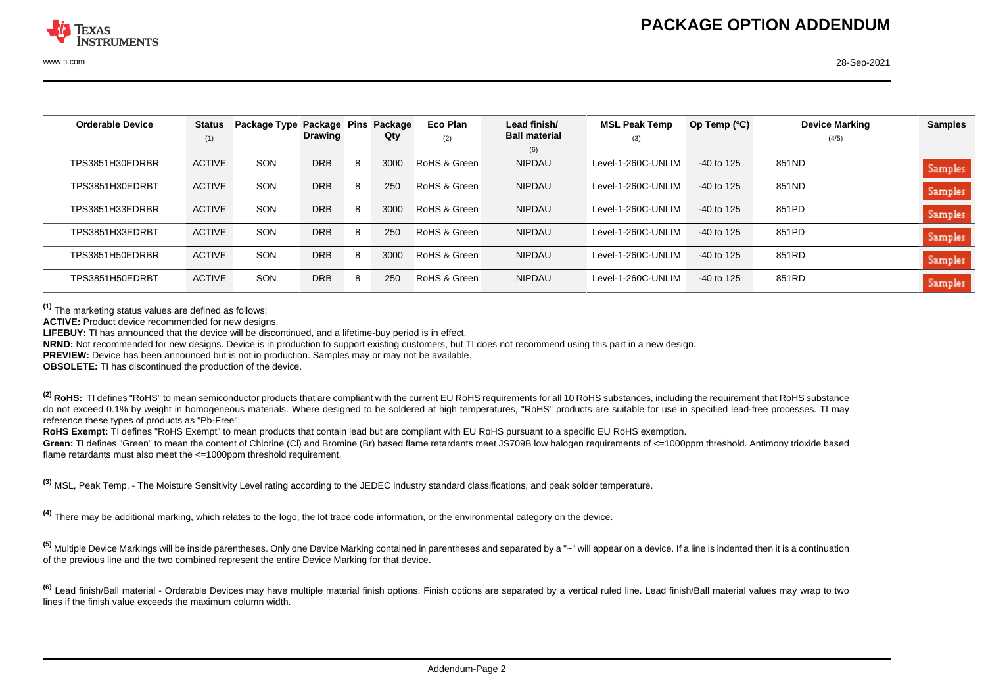| <b>Orderable Device</b> | <b>Status</b> | Package Type Package Pins |                |   | Package | Eco Plan     | Lead finish/         | <b>MSL Peak Temp</b> | Op Temp $(°C)$ | <b>Device Marking</b> | <b>Samples</b> |
|-------------------------|---------------|---------------------------|----------------|---|---------|--------------|----------------------|----------------------|----------------|-----------------------|----------------|
|                         | (1)           |                           | <b>Drawing</b> |   | Qty     | (2)          | <b>Ball material</b> | (3)                  |                | (4/5)                 |                |
|                         |               |                           |                |   |         |              | (6)                  |                      |                |                       |                |
| TPS3851H30EDRBR         | <b>ACTIVE</b> | SON                       | DRB            | 8 | 3000    | RoHS & Green | <b>NIPDAU</b>        | Level-1-260C-UNLIM   | $-40$ to 125   | 851ND                 | <b>Samples</b> |
|                         |               |                           |                |   |         |              |                      |                      |                |                       |                |
| TPS3851H30EDRBT         | <b>ACTIVE</b> | SON                       | DRB            | 8 | 250     | RoHS & Green | <b>NIPDAU</b>        | Level-1-260C-UNLIM   | $-40$ to 125   | 851ND                 | Samples        |
|                         |               |                           |                |   |         |              |                      |                      |                |                       |                |
| TPS3851H33EDRBR         | <b>ACTIVE</b> | SON                       | <b>DRB</b>     | 8 | 3000    | RoHS & Green | <b>NIPDAU</b>        | Level-1-260C-UNLIM   | $-40$ to 125   | 851PD                 | Samples        |
|                         |               |                           |                |   |         |              |                      |                      |                |                       |                |
| TPS3851H33EDRBT         | <b>ACTIVE</b> | SON                       | <b>DRB</b>     | 8 | 250     | RoHS & Green | <b>NIPDAU</b>        | Level-1-260C-UNLIM   | $-40$ to 125   | 851PD                 |                |
|                         |               |                           |                |   |         |              |                      |                      |                |                       | Samples        |
| TPS3851H50EDRBR         | <b>ACTIVE</b> | SON                       | <b>DRB</b>     | 8 | 3000    | RoHS & Green | <b>NIPDAU</b>        | Level-1-260C-UNLIM   | -40 to 125     | 851RD                 |                |
|                         |               |                           |                |   |         |              |                      |                      |                |                       | <b>Samples</b> |
| TPS3851H50EDRBT         | <b>ACTIVE</b> | SON                       | DRB            | 8 | 250     | RoHS & Green | <b>NIPDAU</b>        | Level-1-260C-UNLIM   | -40 to 125     | 851RD                 |                |
|                         |               |                           |                |   |         |              |                      |                      |                |                       | <b>Samples</b> |

**(1)** The marketing status values are defined as follows:

**ACTIVE:** Product device recommended for new designs.

**LIFEBUY:** TI has announced that the device will be discontinued, and a lifetime-buy period is in effect.

**NRND:** Not recommended for new designs. Device is in production to support existing customers, but TI does not recommend using this part in a new design.

**PREVIEW:** Device has been announced but is not in production. Samples may or may not be available.

**OBSOLETE:** TI has discontinued the production of the device.

<sup>(2)</sup> RoHS: TI defines "RoHS" to mean semiconductor products that are compliant with the current EU RoHS requirements for all 10 RoHS substances, including the requirement that RoHS substance do not exceed 0.1% by weight in homogeneous materials. Where designed to be soldered at high temperatures, "RoHS" products are suitable for use in specified lead-free processes. TI may reference these types of products as "Pb-Free".

**RoHS Exempt:** TI defines "RoHS Exempt" to mean products that contain lead but are compliant with EU RoHS pursuant to a specific EU RoHS exemption.

Green: TI defines "Green" to mean the content of Chlorine (CI) and Bromine (Br) based flame retardants meet JS709B low halogen requirements of <=1000ppm threshold. Antimony trioxide based flame retardants must also meet the <=1000ppm threshold requirement.

**(3)** MSL, Peak Temp. - The Moisture Sensitivity Level rating according to the JEDEC industry standard classifications, and peak solder temperature.

**(4)** There may be additional marking, which relates to the logo, the lot trace code information, or the environmental category on the device.

<sup>(5)</sup> Multiple Device Markings will be inside parentheses. Only one Device Marking contained in parentheses and separated by a "~" will appear on a device. If a line is indented then it is a continuation of the previous line and the two combined represent the entire Device Marking for that device.

<sup>(6)</sup> Lead finish/Ball material - Orderable Devices may have multiple material finish options. Finish options are separated by a vertical ruled line. Lead finish/Ball material values may wrap to two lines if the finish value exceeds the maximum column width.